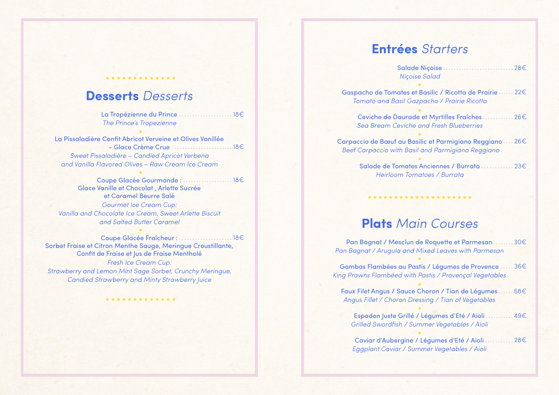### **Desserts** *Desserts*

.............

La Tropézienne du Prince .....................18€ *The Prince's Tropezienne*

La Pissaladière Confit Abricot Verveine et Olives Vanillée - Glace Crème Crue 18€ *Sweet Pissaladière – Candied Apricot Verbena and Vanilla Flavored Olives – Raw Cream Ice Cream*

Coupe Glacée Gourmande : 18€ Glace Vanille et Chocolat , Arlette Sucrée et Caramel Beurre Salé *Gourmet Ice Cream Cup: Vanilla and Chocolate Ice Cream, Sweet Arlette Biscuit and Salted Butter Caramel*

Coupe Glacée Fraîcheur : 18€Sorbet Fraise et Citron Menthe Sauge, Meringue Croustillante, Confit de Fraise et Jus de Fraise Mentholé *Fresh Ice Cream Cup: Strawberry and Lemon Mint Sage Sorbet, Crunchy Meringue, Candied Strawberry and Minty Strawberry Juice*

.............

# **Entrées** *Starters*

Salade Niçoise 28€ *Niçoise Salad*

Gaspacho de Tomates et Basilic / Ricotta de Prairie 22€ *Tomato and Basil Gazpacho / Prairie Ricotta*

Ceviche de Daurade et Myrtilles Fraîches 26€ *Sea Bream Ceviche and Fresh Blueberries*

Carpaccio de Bœuf au Basilic et Parmigiano Reggiano 26€  *Beef Carpaccio with Basil and Parmigiano Reggiano*

> Salade de Tomates Anciennes / Burrata 23€ *Heirloom Tomatoes / Burrata*

## **Plats** *Main Courses*

Pan Bagnat / Mesclun de Roquette et Parmesan 30€ *Pan Bagnat / Arugula and Mixed Leaves with Parmesan*

Gambas Flambées au Pastis / Légumes de Provence 36€ *King Prawns Flambéed with Pastis / Provençal Vegetables*

Faux Filet Angus / Sauce Choron / Tian de Légumes 58€ *Angus Fillet / Choron Dressing / Tian of Vegetables*

Espadon Juste Grillé / Légumes d'Eté / Aioli 49€ *Grilled Swordfish / Summer Vegetables / Aioli*

Caviar d'Aubergine / Légumes d'Eté / Aioli 28€ *Eggplant Caviar / Summer Vegetables / Aioli*